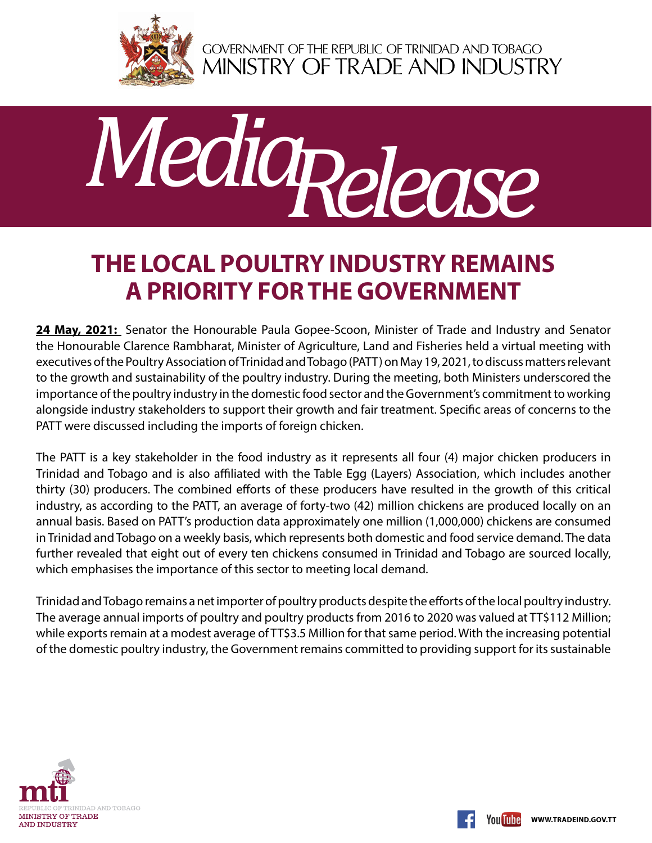

GOVERNMENT OF THE REPUBLIC OF TRINIDAD AND TOBAGO<br>MINISTRY OF TRADE AND INDUSTRY



## **The local poultry industry remains a priority for the Government**

24 May, 2021: Senator the Honourable Paula Gopee-Scoon, Minister of Trade and Industry and Senator the Honourable Clarence Rambharat, Minister of Agriculture, Land and Fisheries held a virtual meeting with executives of the Poultry Association of Trinidad and Tobago (PATT) on May 19, 2021, to discuss matters relevant to the growth and sustainability of the poultry industry. During the meeting, both Ministers underscored the importance of the poultry industry in the domestic food sector and the Government's commitment to working alongside industry stakeholders to support their growth and fair treatment. Specific areas of concerns to the PATT were discussed including the imports of foreign chicken.

The PATT is a key stakeholder in the food industry as it represents all four (4) major chicken producers in Trinidad and Tobago and is also affiliated with the Table Egg (Layers) Association, which includes another thirty (30) producers. The combined efforts of these producers have resulted in the growth of this critical industry, as according to the PATT, an average of forty-two (42) million chickens are produced locally on an annual basis. Based on PATT's production data approximately one million (1,000,000) chickens are consumed in Trinidad and Tobago on a weekly basis, which represents both domestic and food service demand. The data further revealed that eight out of every ten chickens consumed in Trinidad and Tobago are sourced locally, which emphasises the importance of this sector to meeting local demand.

Trinidad and Tobago remains a net importer of poultry products despite the efforts of the local poultry industry. The average annual imports of poultry and poultry products from 2016 to 2020 was valued at TT\$112 Million; while exports remain at a modest average of TT\$3.5 Million for that same period. With the increasing potential of the domestic poultry industry, the Government remains committed to providing support for its sustainable